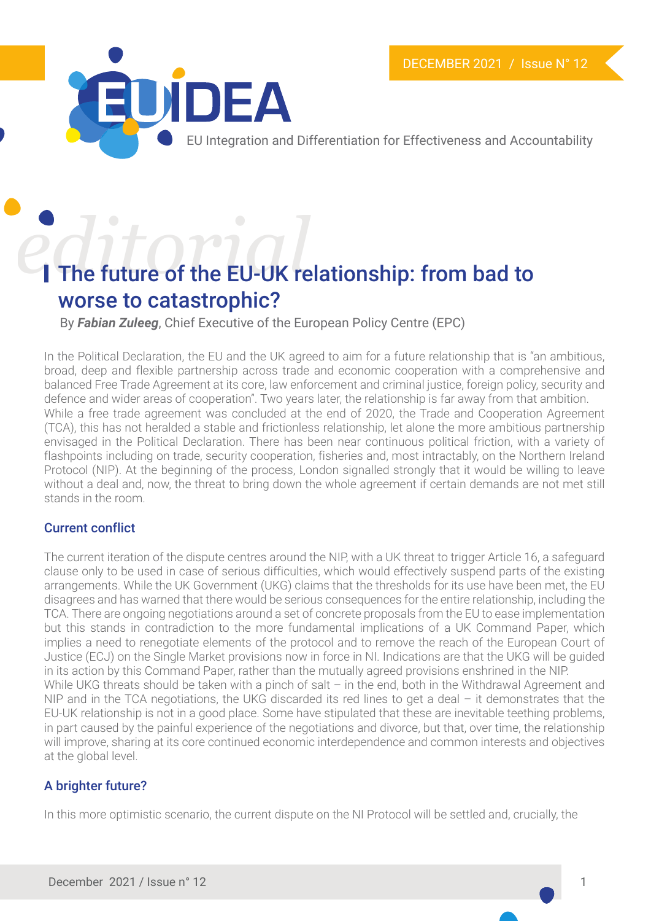

EU Integration and Differentiation for Effectiveness and Accountability

# **editorial** *distantance*<br>The future of the EU-UK relationship: from bad to worse to catastrophic?

By *Fabian Zuleeg*, Chief Executive of the European Policy Centre (EPC)

In the Political Declaration, the EU and the UK agreed to aim for a future relationship that is "an ambitious, broad, deep and flexible partnership across trade and economic cooperation with a comprehensive and balanced Free Trade Agreement at its core, law enforcement and criminal justice, foreign policy, security and defence and wider areas of cooperation". Two years later, the relationship is far away from that ambition. While a free trade agreement was concluded at the end of 2020, the Trade and Cooperation Agreement (TCA), this has not heralded a stable and frictionless relationship, let alone the more ambitious partnership envisaged in the Political Declaration. There has been near continuous political friction, with a variety of flashpoints including on trade, security cooperation, fisheries and, most intractably, on the Northern Ireland Protocol (NIP). At the beginning of the process, London signalled strongly that it would be willing to leave without a deal and, now, the threat to bring down the whole agreement if certain demands are not met still stands in the room.

#### Current conflict

The current iteration of the dispute centres around the NIP, with a UK threat to trigger Article 16, a safeguard clause only to be used in case of serious difficulties, which would effectively suspend parts of the existing arrangements. While the UK Government (UKG) claims that the thresholds for its use have been met, the EU disagrees and has warned that there would be serious consequences for the entire relationship, including the TCA. There are ongoing negotiations around a set of concrete proposals from the EU to ease implementation but this stands in contradiction to the more fundamental implications of a UK Command Paper, which implies a need to renegotiate elements of the protocol and to remove the reach of the European Court of Justice (ECJ) on the Single Market provisions now in force in NI. Indications are that the UKG will be guided in its action by this Command Paper, rather than the mutually agreed provisions enshrined in the NIP. While UKG threats should be taken with a pinch of salt – in the end, both in the Withdrawal Agreement and NIP and in the TCA negotiations, the UKG discarded its red lines to get a deal - it demonstrates that the EU-UK relationship is not in a good place. Some have stipulated that these are inevitable teething problems, in part caused by the painful experience of the negotiations and divorce, but that, over time, the relationship will improve, sharing at its core continued economic interdependence and common interests and objectives at the global level.

### A brighter future?

In this more optimistic scenario, the current dispute on the NI Protocol will be settled and, crucially, the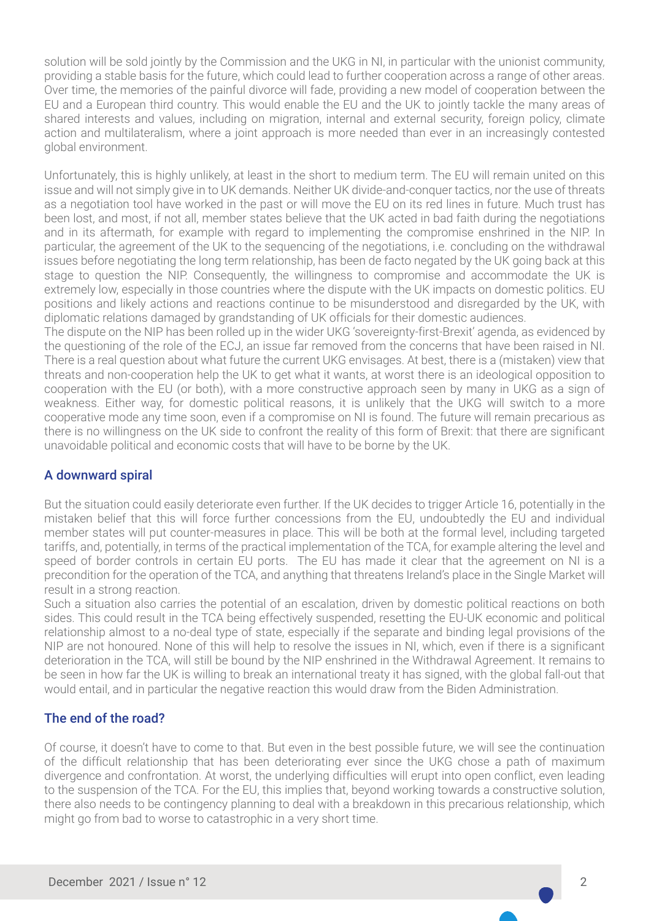solution will be sold jointly by the Commission and the UKG in NI, in particular with the unionist community, providing a stable basis for the future, which could lead to further cooperation across a range of other areas. Over time, the memories of the painful divorce will fade, providing a new model of cooperation between the EU and a European third country. This would enable the EU and the UK to jointly tackle the many areas of shared interests and values, including on migration, internal and external security, foreign policy, climate action and multilateralism, where a joint approach is more needed than ever in an increasingly contested global environment.

Unfortunately, this is highly unlikely, at least in the short to medium term. The EU will remain united on this issue and will not simply give in to UK demands. Neither UK divide-and-conquer tactics, nor the use of threats as a negotiation tool have worked in the past or will move the EU on its red lines in future. Much trust has been lost, and most, if not all, member states believe that the UK acted in bad faith during the negotiations and in its aftermath, for example with regard to implementing the compromise enshrined in the NIP. In particular, the agreement of the UK to the sequencing of the negotiations, i.e. concluding on the withdrawal issues before negotiating the long term relationship, has been de facto negated by the UK going back at this stage to question the NIP. Consequently, the willingness to compromise and accommodate the UK is extremely low, especially in those countries where the dispute with the UK impacts on domestic politics. EU positions and likely actions and reactions continue to be misunderstood and disregarded by the UK, with diplomatic relations damaged by grandstanding of UK officials for their domestic audiences.

The dispute on the NIP has been rolled up in the wider UKG 'sovereignty-first-Brexit' agenda, as evidenced by the questioning of the role of the ECJ, an issue far removed from the concerns that have been raised in NI. There is a real question about what future the current UKG envisages. At best, there is a (mistaken) view that threats and non-cooperation help the UK to get what it wants, at worst there is an ideological opposition to cooperation with the EU (or both), with a more constructive approach seen by many in UKG as a sign of weakness. Either way, for domestic political reasons, it is unlikely that the UKG will switch to a more cooperative mode any time soon, even if a compromise on NI is found. The future will remain precarious as there is no willingness on the UK side to confront the reality of this form of Brexit: that there are significant unavoidable political and economic costs that will have to be borne by the UK.

#### A downward spiral

But the situation could easily deteriorate even further. If the UK decides to trigger Article 16, potentially in the mistaken belief that this will force further concessions from the EU, undoubtedly the EU and individual member states will put counter-measures in place. This will be both at the formal level, including targeted tariffs, and, potentially, in terms of the practical implementation of the TCA, for example altering the level and speed of border controls in certain EU ports. The EU has made it clear that the agreement on NI is a precondition for the operation of the TCA, and anything that threatens Ireland's place in the Single Market will result in a strong reaction.

Such a situation also carries the potential of an escalation, driven by domestic political reactions on both sides. This could result in the TCA being effectively suspended, resetting the EU-UK economic and political relationship almost to a no-deal type of state, especially if the separate and binding legal provisions of the NIP are not honoured. None of this will help to resolve the issues in NI, which, even if there is a significant deterioration in the TCA, will still be bound by the NIP enshrined in the Withdrawal Agreement. It remains to be seen in how far the UK is willing to break an international treaty it has signed, with the global fall-out that would entail, and in particular the negative reaction this would draw from the Biden Administration.

#### The end of the road?

Of course, it doesn't have to come to that. But even in the best possible future, we will see the continuation of the difficult relationship that has been deteriorating ever since the UKG chose a path of maximum divergence and confrontation. At worst, the underlying difficulties will erupt into open conflict, even leading to the suspension of the TCA. For the EU, this implies that, beyond working towards a constructive solution, there also needs to be contingency planning to deal with a breakdown in this precarious relationship, which might go from bad to worse to catastrophic in a very short time.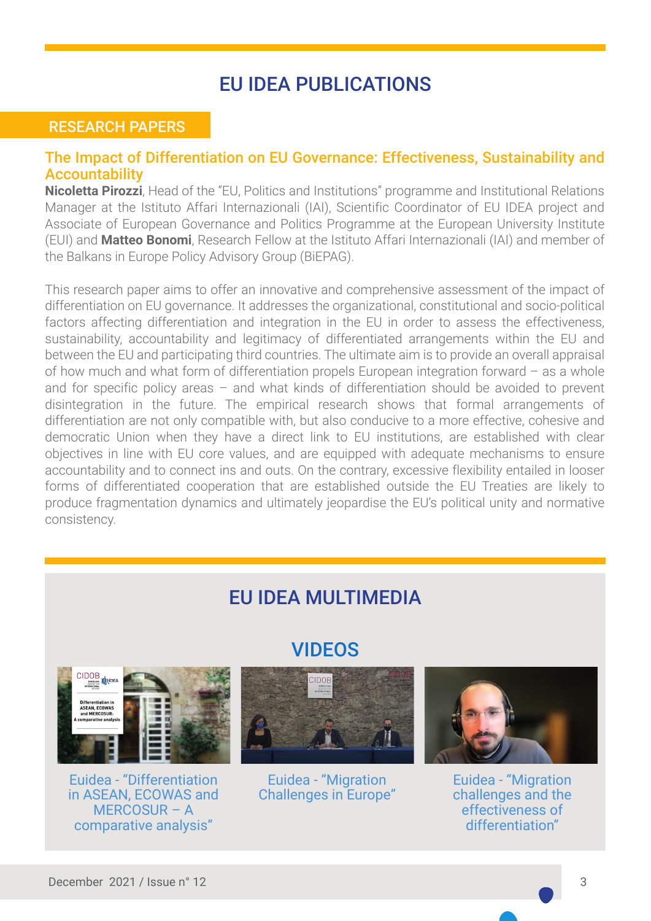### EU IDEA PUBLICATIONS

### RESEARCH PAPERS

#### [The Impact of Differentiation on EU Governance: Effectiveness, Sustainability and](https://euidea.eu/wp-content/uploads/2021/12/euidea_rp_12.pdf) **Accountability**

**Nicoletta Pirozzi**, Head of the "EU, Politics and Institutions" programme and Institutional Relations Manager at the Istituto Affari Internazionali (IAI), Scientific Coordinator of EU IDEA project and Associate of European Governance and Politics Programme at the European University Institute (EUI) and **Matteo Bonomi**, Research Fellow at the Istituto Affari Internazionali (IAI) and member of the Balkans in Europe Policy Advisory Group (BiEPAG).

This research paper aims to offer an innovative and comprehensive assessment of the impact of differentiation on EU governance. It addresses the organizational, constitutional and socio-political factors affecting differentiation and integration in the EU in order to assess the effectiveness, sustainability, accountability and legitimacy of differentiated arrangements within the EU and between the EU and participating third countries. The ultimate aim is to provide an overall appraisal of how much and what form of differentiation propels European integration forward – as a whole and for specific policy areas – and what kinds of differentiation should be avoided to prevent disintegration in the future. The empirical research shows that formal arrangements of differentiation are not only compatible with, but also conducive to a more effective, cohesive and democratic Union when they have a direct link to EU institutions, are established with clear objectives in line with EU core values, and are equipped with adequate mechanisms to ensure accountability and to connect ins and outs. On the contrary, excessive flexibility entailed in looser forms of differentiated cooperation that are established outside the EU Treaties are likely to produce fragmentation dynamics and ultimately jeopardise the EU's political unity and normative consistency.

## CIDOB<br>ANGLORE **TELLIDEA** Differentiation in<br>ASEAN, ECOWAS<br>and MERCOSUR: mparative analys

Euidea - "Differentiation [in ASEAN, ECOWAS and](https://www.youtube.com/watch?v=q7Hl-KRvQSU) MERCOSUR – A comparative analysis"

### EU IDEA MULTIMEDIA

VIDEOS



Euidea - "Migration [Challenges in Europe"](https://www.youtube.com/watch?v=XLgsRc8M3II&feature=emb_title)



Euidea - "Migration [challenges and the](https://www.youtube.com/watch?v=Eps-cRpJqbA) effectiveness of differentiation"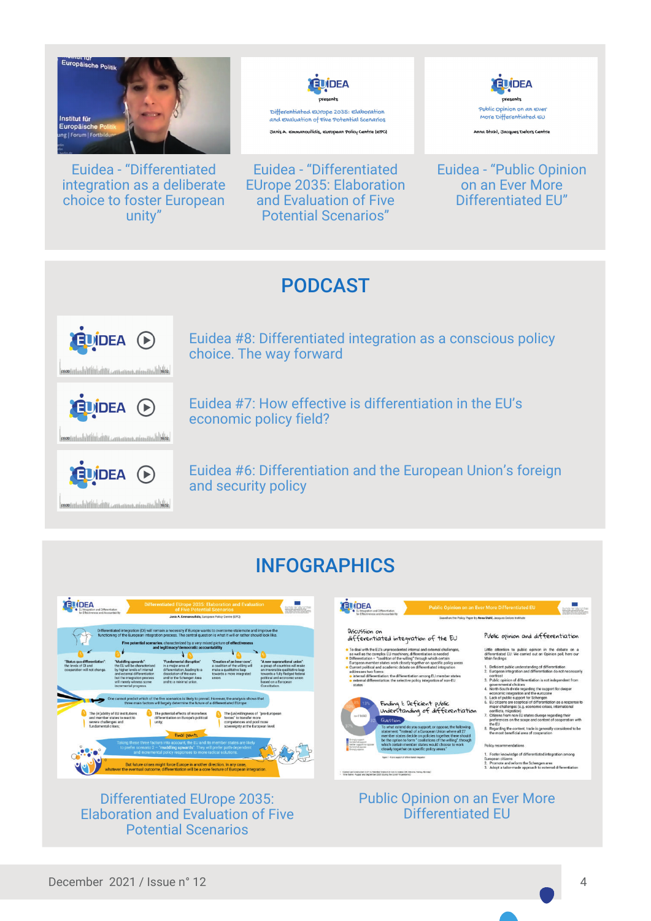

Euidea - "Differentiated [integration as a deliberate](https://www.youtube.com/watch?v=vPb5hxBGqkc) choice to foster European unity"



Euidea - "Differentiated [EUrope 2035: Elaboration](https://www.youtube.com/watch?v=5a3UURWusnY)  and Evaluation of Five Potential Scenarios"



[Euidea - "Public Opinion](https://www.youtube.com/watch?v=OcL9TS855Oo)  on an Ever More Differentiated EU"

### PODCAST







[Euidea #8: Differentiated integration as a conscious policy](https://www.spreaker.com/user/euidea/euidea-8-differentiated-integration-as-a?utm_campaign=episode-title&utm_medium=app&utm_source=widget)  choice. The way forward

[Euidea #7: How effective is differentiation in the EU's](https://www.spreaker.com/user/euidea/euidea-podcast-rubio-mixdown_9?utm_campaign=episode-title&utm_medium=app&utm_source=widget)  economic policy field?

[Euidea #6: Differentiation and the European Union's foreign](https://www.spreaker.com/user/euidea/eu-idea-podcast-juha-jokela?utm_campaign=episode-title&utm_medium=app&utm_source=widget)  and security policy

### INFOGRAPHICS



#### Differentiated EUrope 2035: [Elaboration and Evaluation of Five](https://euidea.eu/wp-content/uploads/2021/10/Euidea-infografica-video-06.pdf)  Potential Scenarios

[Public Opinion on an Ever More](https://euidea.eu/wp-content/uploads/2021/10/Euidea-infografica-video-05.pdf)  Differentiated EU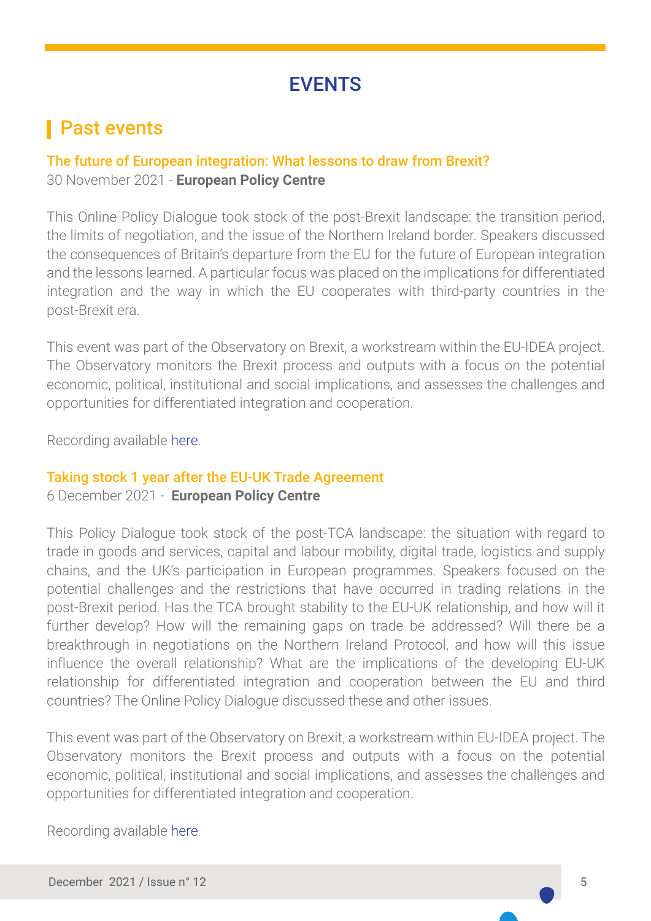### **EVENTS**

### **Past events**

### The future of European integration: What lessons to draw from Brexit? 30 November 2021 - **European Policy Centre**

This Online Policy Dialogue took stock of the post-Brexit landscape: the transition period, the limits of negotiation, and the issue of the Northern Ireland border. Speakers discussed the consequences of Britain's departure from the EU for the future of European integration and the lessons learned. A particular focus was placed on the implications for differentiated integration and the way in which the EU cooperates with third-party countries in the post-Brexit era.

This event was part of the Observatory on Brexit, a workstream within the EU-IDEA project. The Observatory monitors the Brexit process and outputs with a focus on the potential economic, political, institutional and social implications, and assesses the challenges and opportunities for differentiated integration and cooperation.

Recording available [here.](https://www.youtube.com/watch?v=h7-0BriA-jc)

### Taking stock 1 year after the EU-UK Trade Agreement

#### 6 December 2021 - **European Policy Centre**

This Policy Dialogue took stock of the post-TCA landscape: the situation with regard to trade in goods and services, capital and labour mobility, digital trade, logistics and supply chains, and the UK's participation in European programmes. Speakers focused on the potential challenges and the restrictions that have occurred in trading relations in the post-Brexit period. Has the TCA brought stability to the EU-UK relationship, and how will it further develop? How will the remaining gaps on trade be addressed? Will there be a breakthrough in negotiations on the Northern Ireland Protocol, and how will this issue influence the overall relationship? What are the implications of the developing EU-UK relationship for differentiated integration and cooperation between the EU and third countries? The Online Policy Dialogue discussed these and other issues.

This event was part of the Observatory on Brexit, a workstream within EU-IDEA project. The Observatory monitors the Brexit process and outputs with a focus on the potential economic, political, institutional and social implications, and assesses the challenges and opportunities for differentiated integration and cooperation.

Recording available [here.](https://www.youtube.com/watch?v=NT7sYtQWiwI)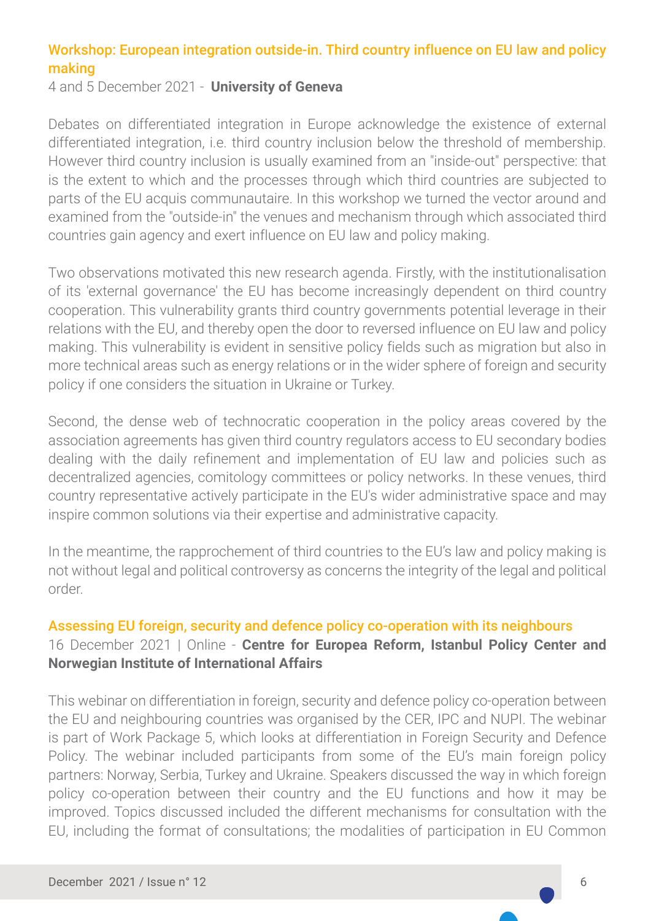### Workshop: European integration outside-in. Third country influence on EU law and policy making

4 and 5 December 2021 - **University of Geneva**

Debates on differentiated integration in Europe acknowledge the existence of external differentiated integration, i.e. third country inclusion below the threshold of membership. However third country inclusion is usually examined from an "inside-out" perspective: that is the extent to which and the processes through which third countries are subjected to parts of the EU acquis communautaire. In this workshop we turned the vector around and examined from the "outside-in" the venues and mechanism through which associated third countries gain agency and exert influence on EU law and policy making.

Two observations motivated this new research agenda. Firstly, with the institutionalisation of its 'external governance' the EU has become increasingly dependent on third country cooperation. This vulnerability grants third country governments potential leverage in their relations with the EU, and thereby open the door to reversed influence on EU law and policy making. This vulnerability is evident in sensitive policy fields such as migration but also in more technical areas such as energy relations or in the wider sphere of foreign and security policy if one considers the situation in Ukraine or Turkey.

Second, the dense web of technocratic cooperation in the policy areas covered by the association agreements has given third country regulators access to EU secondary bodies dealing with the daily refinement and implementation of EU law and policies such as decentralized agencies, comitology committees or policy networks. In these venues, third country representative actively participate in the EU's wider administrative space and may inspire common solutions via their expertise and administrative capacity.

In the meantime, the rapprochement of third countries to the EU's law and policy making is not without legal and political controversy as concerns the integrity of the legal and political order.

### Assessing EU foreign, security and defence policy co-operation with its neighbours

### 16 December 2021 | Online - **Centre for Europea Reform, Istanbul Policy Center and Norwegian Institute of International Affairs**

This webinar on differentiation in foreign, security and defence policy co-operation between the EU and neighbouring countries was organised by the CER, IPC and NUPI. The webinar is part of Work Package 5, which looks at differentiation in Foreign Security and Defence Policy. The webinar included participants from some of the EU's main foreign policy partners: Norway, Serbia, Turkey and Ukraine. Speakers discussed the way in which foreign policy co-operation between their country and the EU functions and how it may be improved. Topics discussed included the different mechanisms for consultation with the EU, including the format of consultations; the modalities of participation in EU Common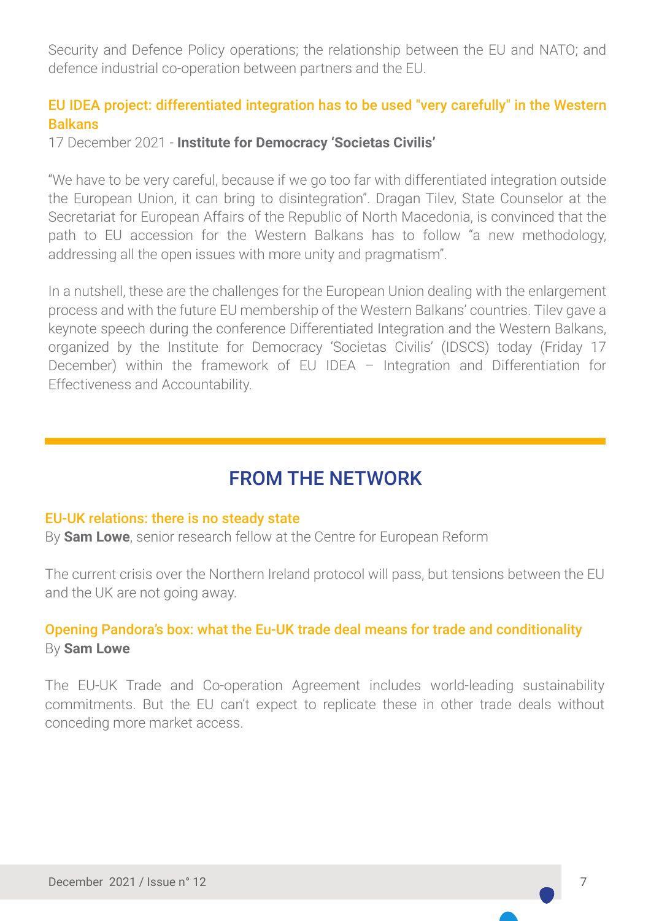Security and Defence Policy operations; the relationship between the EU and NATO; and defence industrial co-operation between partners and the EU.

### EU IDEA project: differentiated integration has to be used "very carefully" in the Western Balkans

17 December 2021 - **Institute for Democracy 'Societas Civilis'** 

"We have to be very careful, because if we go too far with differentiated integration outside the European Union, it can bring to disintegration". Dragan Tilev, State Counselor at the Secretariat for European Affairs of the Republic of North Macedonia, is convinced that the path to EU accession for the Western Balkans has to follow "a new methodology, addressing all the open issues with more unity and pragmatism".

In a nutshell, these are the challenges for the European Union dealing with the enlargement process and with the future EU membership of the Western Balkans' countries. Tilev gave a keynote speech during the conference Differentiated Integration and the Western Balkans, organized by the Institute for Democracy 'Societas Civilis' (IDSCS) today (Friday 17 December) within the framework of EU IDEA – Integration and Differentiation for Effectiveness and Accountability.

### FROM THE NETWORK

#### [EU-UK relations: there is no steady state](https://www.cer.eu/sites/default/files/insight_SL_NIproto_26.10.21_fin.pdf)

By **Sam Lowe**, senior research fellow at the Centre for European Reform

The current crisis over the Northern Ireland protocol will pass, but tensions between the EU and the UK are not going away.

### [Opening Pandora's box: what the Eu-UK trade deal means for trade and conditionality](https://www.cer.eu/sites/default/files/insight_SL_trade_14.10.21_0.pdf) By **Sam Lowe**

The EU-UK Trade and Co-operation Agreement includes world-leading sustainability commitments. But the EU can't expect to replicate these in other trade deals without conceding more market access.